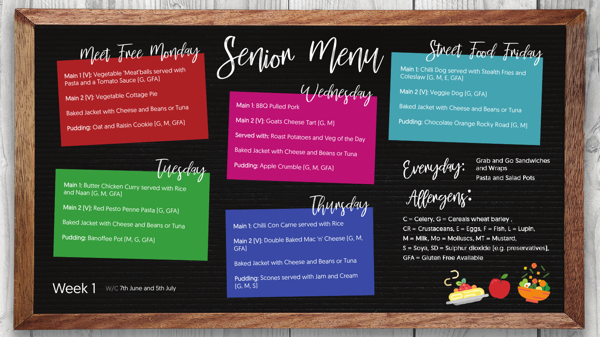Wednesday

Thursday

Main 1 (V): Vegetable 'Meat'balls served with Pasta and a Tomato Sauce (G, GFA)

Main 2 (V): Vegetable Cottage Pie Baked Jacket with Cheese and Beans or Tuna

Pudding: Oat and Raisin Cookie [G, M, GFA]

Inesday

Main 1: BBQ Pulled Pork Main 2 (V): Goats Cheese Tart (G, M) Served with: Roast Potatoes and Veg of the Day **Baked Jacket with Cheese and Beans or Tuna** Pudding: Apple Crumble (G, M, GFA)

Main 1: Chilli Dog served with Stealth Fries and Coleslaw (G, M, E, GFA)

Main 1: Butter Chicken Curry served with Rice and Naan (G, M, GFA)

Main 2 (V): Red Pesto Penne Pasta (G, GFA)

Baked Jacket with Cheese and Beans or Tuna

Pudding: Banoffee Pot (M, G, GFA)

Week 1 W/C 7th June and 5th July

Main 1: Chilli Con Carne served with Rice Main 2 (V): Double Baked Mac 'n' Cheese (G, M, GFA)

**Baked Jacket with Cheese and Beans or Tuna** 

Pudding: Scones served with Jam and Cream

Meet Free Monday Senior Menu Street Food Friday

Main 2 (V): Veggie Dog (G, GFA)

**Baked Jacket with Cheese and Beans or Tuna** 

Pudding: Chocolate Orange Rocky Road [G, M]

Evenyday:

**Grab and Go Sandwiches** and Wraps Pasta and Salad Pots

 $\bullet$ 

Allengenz:

 $C = C$ elery,  $G = C$ ereals wheat barley,  $CR =$  Crustaceans,  $E =$  Eggs,  $F =$  Fish,  $L =$  Lupin,  $M =$  Milk, Mo = Molluscs, MT = Mustard, S = Soya, SD = Sulphur dioxide (e.g. preservatives), **GFA = Gluten Free Available** 

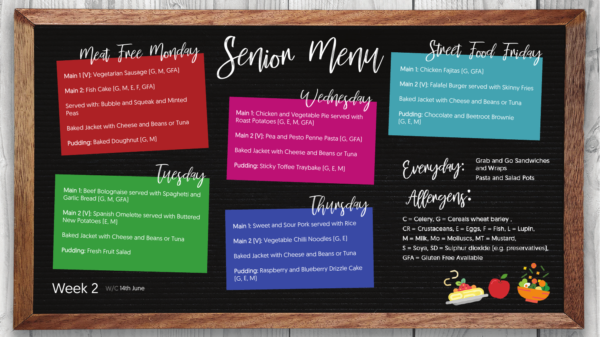Main 1 (V): Vegetarian Sausage (G, M, GFA)

Wednesday

Tuesday

Thursday

Main 2: Fish Cake (G, M, E, F, GFA)

Main 1: Chicken and Vegetable Pie served with Roast Potatoes (G, E, M, GFA)

Served with: Bubble and Squeak and Minted Peas

Baked Jacket with Cheese and Beans or Tuna

Pudding: Baked Doughnut [G, M]

Main 1: Beef Bolognaise served with Spaghetti and Garlic Bread (G, M, GFA)

Main 2 (V): Pea and Pesto Penne Pasta (G, GFA)

**Baked Jacket with Cheese and Beans or Tuna** 

Pudding: Sticky Toffee Traybake (G, E, M)

Main 1: Sweet and Sour Pork served with Rice Main 2 (V): Vegetable Chilli Noodles (G, E) Baked Jacket with Cheese and Beans or Tuna Pudding: Raspberry and Blueberry Drizzle Cake (G, E, M)

Meat Free Monday Senjon Menu Street Food Friday

Main 1: Chicken Fajitas (G, GFA) Main 2 (V): Falafel Burger served with Skinny Fries Baked Jacket with Cheese and Beans or Tuna Pudding: Chocolate and Beetroot Brownie (G, E, M)

Evenyday:

**Grab and Go Sandwiches** and Wraps Pasta and Salad Pots

Allengenz:

 $C = C$ elery,  $G = C$ ereals wheat barley,  $CR =$  Crustaceans,  $E =$  Eggs,  $F =$  Fish,  $L =$  Lupin,  $M =$  Milk, Mo = Molluscs, MT = Mustard, S = Soya, SD = Sulphur dioxide (e.g. preservatives), **GFA = Gluten Free Available** 



Main 2 (V): Spanish Omelette served with Buttered New Potatoes (E, M)

Baked Jacket with Cheese and Beans or Tuna

Pudding: Fresh Fruit Salad

Week 2 W/C 14th June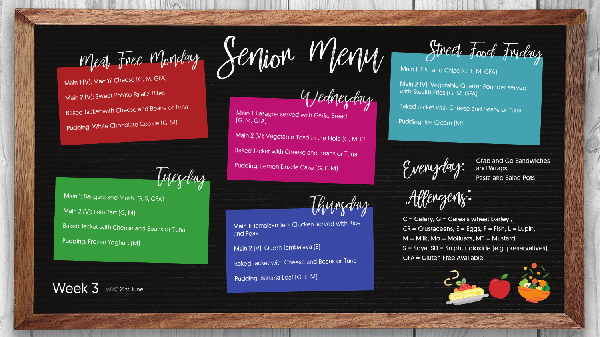Wednesday

Main 1: Lasagne served with Garlic Bread

**Baked Jacket with Cheese and Beans or Tuna** 

Tuesday

Week 3 W/C 21st June

and Peas<sup>1</sup>

Main 2 (V): Quorn Jambalaya (E)

Pudding: Banana Loaf (G, E, M)

Meat Free Monday Senjon Menu Street Food Friday

Thursday

Main 1 (V): Mac 'n' Cheese (G, M, GFA) Main 2 (V): Sweet Potato Falafel Bites Baked Jacket with Cheese and Beans or Tuna Pudding: White Chocolate Cookie (G, M)

(G, M, GFA)

Main 2 [V]: Vegetable Toad in the Hole [G, M, E]

Pudding: Lemon Drizzle Cake [G, E, M]

Main 1: Bangers and Mash [G, S, GFA] Main 2 (V): Feta Tart (G, M) **Baked Jacket with Cheese and Beans or Tuna** Pudding: Frozen Yoghurt [M]

Main 1: Jamaican Jerk Chicken served with Rice

Baked Jacket with Cheese and Beans or Tuna

Main 1: Fish and Chips (G, F, M, GFA)

Main 2 (V): Vegetable Quarter Pounder served with Stealth Fries [G, M, GFA]

Baked Jacket with Cheese and Beans or Tuna

Pudding: Ice Cream [M]

Evenyday:

**Grab and Go Sandwiches** and Wraps Pasta and Salad Pots

Allengenz:

 $C = C$ elery,  $G = C$ ereals wheat barley,  $CR =$  Crustaceans,  $E =$  Eggs,  $F =$  Fish,  $L =$  Lupin,  $M =$  Milk, Mo = Molluscs, MT = Mustard, S = Soya, SD = Sulphur dioxide (e.g. preservatives), **GFA = Gluten Free Available**